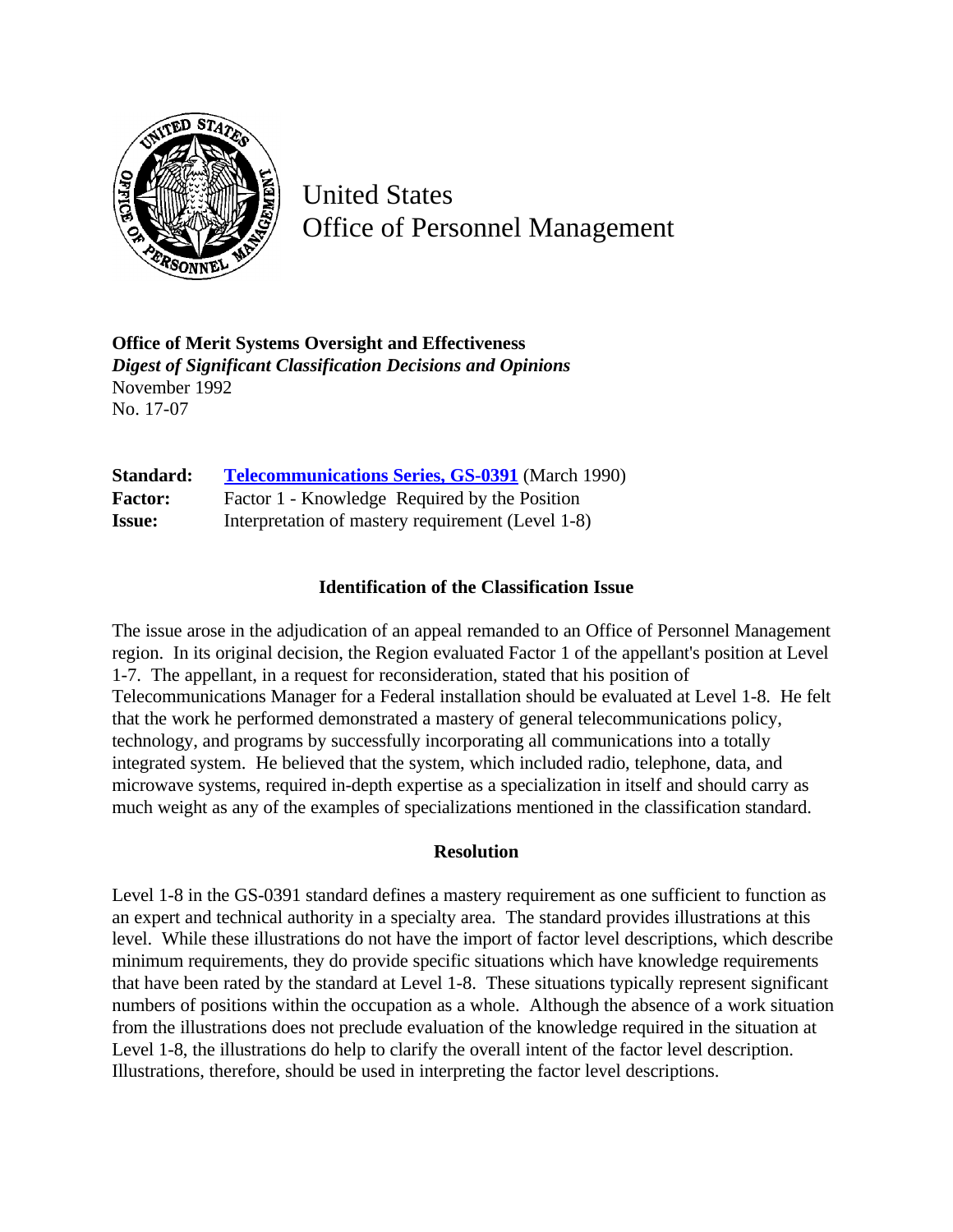

United States Office of Personnel Management

**Office of Merit Systems Oversight and Effectiveness** *Digest of Significant Classification Decisions and Opinions* November 1992 No. 17-07

| Standard:      | <b>Telecommunications Series, GS-0391</b> (March 1990) |
|----------------|--------------------------------------------------------|
| <b>Factor:</b> | Factor 1 - Knowledge Required by the Position          |
| <b>Issue:</b>  | Interpretation of mastery requirement (Level 1-8)      |

## **Identification of the Classification Issue**

The issue arose in the adjudication of an appeal remanded to an Office of Personnel Management region. In its original decision, the Region evaluated Factor 1 of the appellant's position at Level 1-7. The appellant, in a request for reconsideration, stated that his position of Telecommunications Manager for a Federal installation should be evaluated at Level 1-8. He felt that the work he performed demonstrated a mastery of general telecommunications policy, technology, and programs by successfully incorporating all communications into a totally integrated system. He believed that the system, which included radio, telephone, data, and microwave systems, required in-depth expertise as a specialization in itself and should carry as much weight as any of the examples of specializations mentioned in the classification standard.

## **Resolution**

Level 1-8 in the GS-0391 standard defines a mastery requirement as one sufficient to function as an expert and technical authority in a specialty area. The standard provides illustrations at this level. While these illustrations do not have the import of factor level descriptions, which describe minimum requirements, they do provide specific situations which have knowledge requirements that have been rated by the standard at Level 1-8. These situations typically represent significant numbers of positions within the occupation as a whole. Although the absence of a work situation from the illustrations does not preclude evaluation of the knowledge required in the situation at Level 1-8, the illustrations do help to clarify the overall intent of the factor level description. Illustrations, therefore, should be used in interpreting the factor level descriptions.